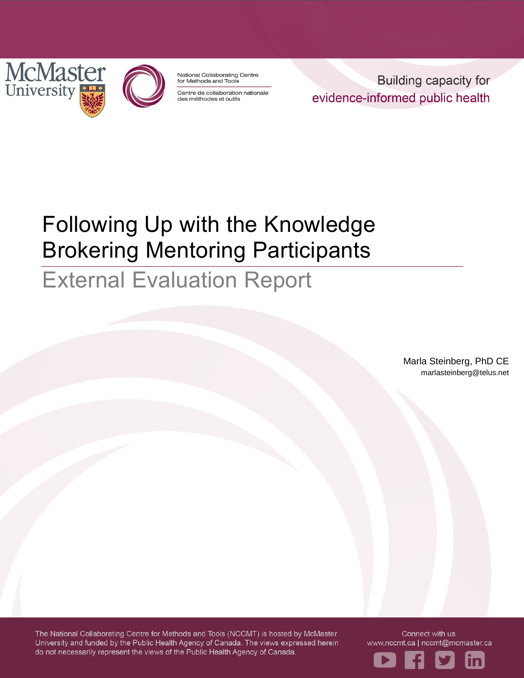

National Collaborating Centre for Methods and Tools

Centre de collaboration nationale des méthodes et outils

**Building capacity for** evidence-informed public health

# Following Up with the Knowledge Brokering Mentoring Participants

# External Evaluation Report

Marla Steinberg, PhD CE marlasteinberg@telus.net

The National Collaborating Centre for Methods and Tools (NCCMT) is hosted by McMaster University and funded by the Public Health Agency of Canada. The views expressed herein do not necessarily represent the views of the Public Health Agency of Canada.

Connect with us www.nccmt.ca | nccmt@mcmaster.ca

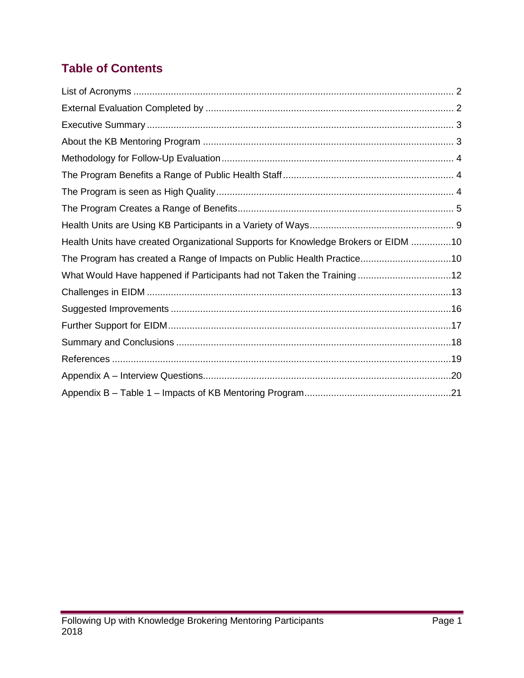# **Table of Contents**

| Health Units have created Organizational Supports for Knowledge Brokers or EIDM 10 |  |
|------------------------------------------------------------------------------------|--|
| The Program has created a Range of Impacts on Public Health Practice10             |  |
| What Would Have happened if Participants had not Taken the Training12              |  |
|                                                                                    |  |
|                                                                                    |  |
|                                                                                    |  |
|                                                                                    |  |
|                                                                                    |  |
|                                                                                    |  |
|                                                                                    |  |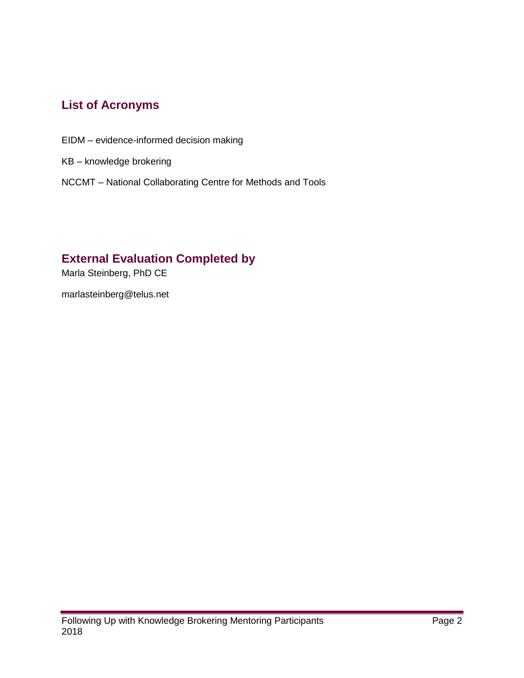## <span id="page-2-0"></span>**List of Acronyms**

- EIDM evidence-informed decision making
- KB knowledge brokering
- NCCMT National Collaborating Centre for Methods and Tools

#### <span id="page-2-1"></span>**External Evaluation Completed by**

Marla Steinberg, PhD CE

marlasteinberg@telus.net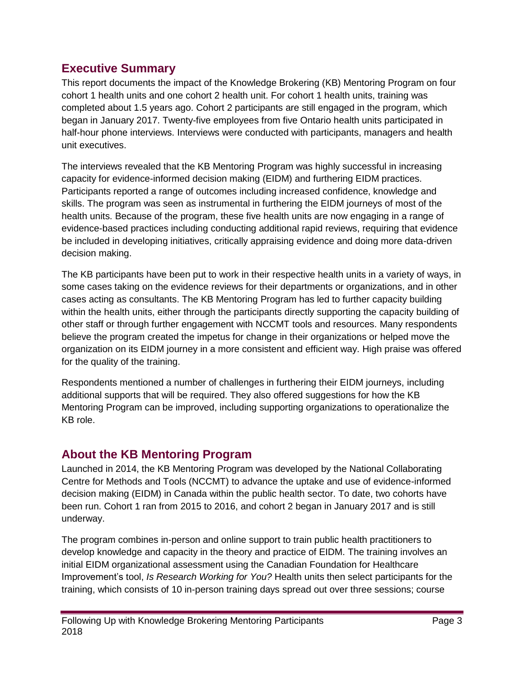#### <span id="page-3-0"></span>**Executive Summary**

This report documents the impact of the Knowledge Brokering (KB) Mentoring Program on four cohort 1 health units and one cohort 2 health unit. For cohort 1 health units, training was completed about 1.5 years ago. Cohort 2 participants are still engaged in the program, which began in January 2017. Twenty-five employees from five Ontario health units participated in half-hour phone interviews. Interviews were conducted with participants, managers and health unit executives.

The interviews revealed that the KB Mentoring Program was highly successful in increasing capacity for evidence-informed decision making (EIDM) and furthering EIDM practices. Participants reported a range of outcomes including increased confidence, knowledge and skills. The program was seen as instrumental in furthering the EIDM journeys of most of the health units. Because of the program, these five health units are now engaging in a range of evidence-based practices including conducting additional rapid reviews, requiring that evidence be included in developing initiatives, critically appraising evidence and doing more data-driven decision making.

The KB participants have been put to work in their respective health units in a variety of ways, in some cases taking on the evidence reviews for their departments or organizations, and in other cases acting as consultants. The KB Mentoring Program has led to further capacity building within the health units, either through the participants directly supporting the capacity building of other staff or through further engagement with NCCMT tools and resources. Many respondents believe the program created the impetus for change in their organizations or helped move the organization on its EIDM journey in a more consistent and efficient way. High praise was offered for the quality of the training.

Respondents mentioned a number of challenges in furthering their EIDM journeys, including additional supports that will be required. They also offered suggestions for how the KB Mentoring Program can be improved, including supporting organizations to operationalize the KB role.

## <span id="page-3-1"></span>**About the KB Mentoring Program**

Launched in 2014, the KB Mentoring Program was developed by the National Collaborating Centre for Methods and Tools (NCCMT) to advance the uptake and use of evidence-informed decision making (EIDM) in Canada within the public health sector. To date, two cohorts have been run. Cohort 1 ran from 2015 to 2016, and cohort 2 began in January 2017 and is still underway.

The program combines in-person and online support to train public health practitioners to develop knowledge and capacity in the theory and practice of EIDM. The training involves an initial EIDM organizational assessment using the Canadian Foundation for Healthcare Improvement's tool, *Is Research Working for You?* Health units then select participants for the training, which consists of 10 in-person training days spread out over three sessions; course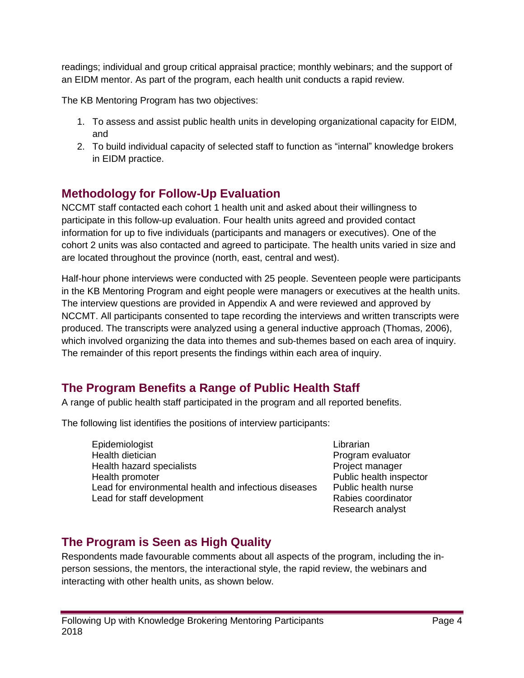readings; individual and group critical appraisal practice; monthly webinars; and the support of an EIDM mentor. As part of the program, each health unit conducts a rapid review.

The KB Mentoring Program has two objectives:

- 1. To assess and assist public health units in developing organizational capacity for EIDM, and
- 2. To build individual capacity of selected staff to function as "internal" knowledge brokers in EIDM practice.

## <span id="page-4-0"></span>**Methodology for Follow-Up Evaluation**

NCCMT staff contacted each cohort 1 health unit and asked about their willingness to participate in this follow-up evaluation. Four health units agreed and provided contact information for up to five individuals (participants and managers or executives). One of the cohort 2 units was also contacted and agreed to participate. The health units varied in size and are located throughout the province (north, east, central and west).

Half-hour phone interviews were conducted with 25 people. Seventeen people were participants in the KB Mentoring Program and eight people were managers or executives at the health units. The interview questions are provided in Appendix A and were reviewed and approved by NCCMT. All participants consented to tape recording the interviews and written transcripts were produced. The transcripts were analyzed using a general inductive approach (Thomas, 2006), which involved organizing the data into themes and sub-themes based on each area of inquiry. The remainder of this report presents the findings within each area of inquiry.

## <span id="page-4-1"></span>**The Program Benefits a Range of Public Health Staff**

A range of public health staff participated in the program and all reported benefits.

The following list identifies the positions of interview participants:

**Epidemiologist** Health dietician Health hazard specialists Health promoter Lead for environmental health and infectious diseases Lead for staff development

Librarian Program evaluator Project manager Public health inspector Public health nurse Rabies coordinator Research analyst

## <span id="page-4-2"></span>**The Program is Seen as High Quality**

Respondents made favourable comments about all aspects of the program, including the inperson sessions, the mentors, the interactional style, the rapid review, the webinars and interacting with other health units, as shown below.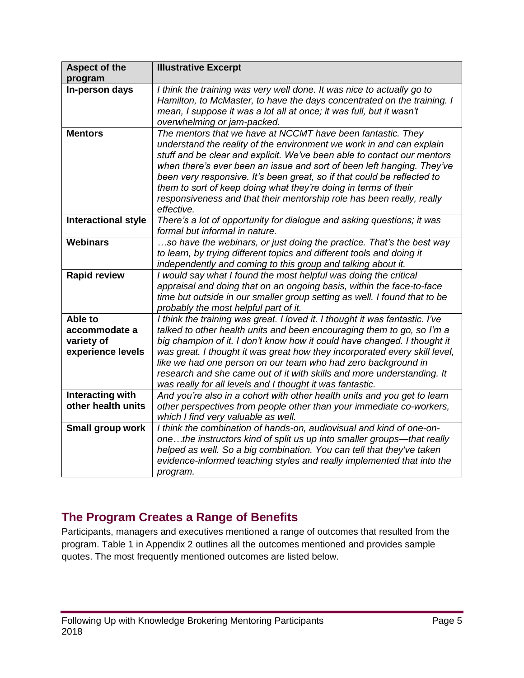| <b>Aspect of the</b>                                        | <b>Illustrative Excerpt</b>                                                                                                                                                                                                                                                                                                                                                                                                                                                                                                   |
|-------------------------------------------------------------|-------------------------------------------------------------------------------------------------------------------------------------------------------------------------------------------------------------------------------------------------------------------------------------------------------------------------------------------------------------------------------------------------------------------------------------------------------------------------------------------------------------------------------|
| program                                                     |                                                                                                                                                                                                                                                                                                                                                                                                                                                                                                                               |
| In-person days                                              | I think the training was very well done. It was nice to actually go to<br>Hamilton, to McMaster, to have the days concentrated on the training. I<br>mean, I suppose it was a lot all at once; it was full, but it wasn't<br>overwhelming or jam-packed.                                                                                                                                                                                                                                                                      |
| <b>Mentors</b>                                              | The mentors that we have at NCCMT have been fantastic. They<br>understand the reality of the environment we work in and can explain<br>stuff and be clear and explicit. We've been able to contact our mentors<br>when there's ever been an issue and sort of been left hanging. They've<br>been very responsive. It's been great, so if that could be reflected to<br>them to sort of keep doing what they're doing in terms of their<br>responsiveness and that their mentorship role has been really, really<br>effective. |
| Interactional style                                         | There's a lot of opportunity for dialogue and asking questions; it was<br>formal but informal in nature.                                                                                                                                                                                                                                                                                                                                                                                                                      |
| Webinars                                                    | so have the webinars, or just doing the practice. That's the best way<br>to learn, by trying different topics and different tools and doing it<br>independently and coming to this group and talking about it.                                                                                                                                                                                                                                                                                                                |
| <b>Rapid review</b>                                         | I would say what I found the most helpful was doing the critical<br>appraisal and doing that on an ongoing basis, within the face-to-face<br>time but outside in our smaller group setting as well. I found that to be<br>probably the most helpful part of it.                                                                                                                                                                                                                                                               |
| Able to<br>accommodate a<br>variety of<br>experience levels | I think the training was great. I loved it. I thought it was fantastic. I've<br>talked to other health units and been encouraging them to go, so I'm a<br>big champion of it. I don't know how it could have changed. I thought it<br>was great. I thought it was great how they incorporated every skill level,<br>like we had one person on our team who had zero background in<br>research and she came out of it with skills and more understanding. It<br>was really for all levels and I thought it was fantastic.      |
| Interacting with<br>other health units                      | And you're also in a cohort with other health units and you get to learn<br>other perspectives from people other than your immediate co-workers,<br>which I find very valuable as well.                                                                                                                                                                                                                                                                                                                                       |
| Small group work                                            | I think the combination of hands-on, audiovisual and kind of one-on-<br>onethe instructors kind of split us up into smaller groups—that really<br>helped as well. So a big combination. You can tell that they've taken<br>evidence-informed teaching styles and really implemented that into the<br>program.                                                                                                                                                                                                                 |

## <span id="page-5-0"></span>**The Program Creates a Range of Benefits**

Participants, managers and executives mentioned a range of outcomes that resulted from the program. Table 1 in Appendix 2 outlines all the outcomes mentioned and provides sample quotes. The most frequently mentioned outcomes are listed below.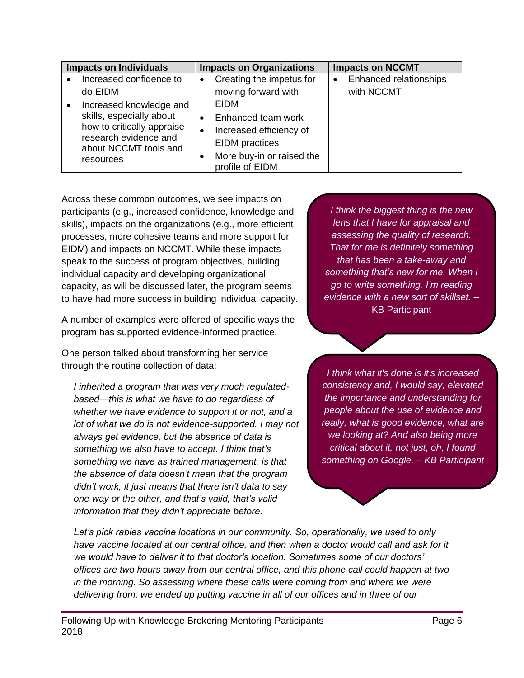|           | <b>Impacts on Individuals</b>                  |           | <b>Impacts on Organizations</b>              |           | <b>Impacts on NCCMT</b> |
|-----------|------------------------------------------------|-----------|----------------------------------------------|-----------|-------------------------|
|           | Increased confidence to                        | $\bullet$ | Creating the impetus for                     | $\bullet$ | Enhanced relationships  |
|           | do EIDM                                        |           | moving forward with                          |           | with NCCMT              |
| $\bullet$ | Increased knowledge and                        |           | <b>EIDM</b>                                  |           |                         |
|           | skills, especially about                       | $\bullet$ | Enhanced team work                           |           |                         |
|           | how to critically appraise                     |           | Increased efficiency of                      |           |                         |
|           | research evidence and<br>about NCCMT tools and |           | <b>EIDM</b> practices                        |           |                         |
|           | resources                                      |           | More buy-in or raised the<br>profile of EIDM |           |                         |

Across these common outcomes, we see impacts on participants (e.g., increased confidence, knowledge and skills), impacts on the organizations (e.g., more efficient processes, more cohesive teams and more support for EIDM) and impacts on NCCMT. While these impacts speak to the success of program objectives, building individual capacity and developing organizational capacity, as will be discussed later, the program seems to have had more success in building individual capacity.

A number of examples were offered of specific ways the program has supported evidence-informed practice.

One person talked about transforming her service through the routine collection of data:

*I inherited a program that was very much regulatedbased—this is what we have to do regardless of whether we have evidence to support it or not, and a lot of what we do is not evidence-supported. I may not always get evidence, but the absence of data is something we also have to accept. I think that's something we have as trained management, is that the absence of data doesn't mean that the program didn't work, it just means that there isn't data to say one way or the other, and that's valid, that's valid information that they didn't appreciate before.*

*I think the biggest thing is the new lens that I have for appraisal and assessing the quality of research. That for me is definitely something that has been a take-away and something that's new for me. When I go to write something, I'm reading evidence with a new sort of skillset.* – KB Participant

*I think what it's done is it's increased consistency and, I would say, elevated the importance and understanding for people about the use of evidence and really, what is good evidence, what are we looking at? And also being more critical about it, not just, oh, I found something on Google. – KB Participant*

*Let's pick rabies vaccine locations in our community. So, operationally, we used to only have vaccine located at our central office, and then when a doctor would call and ask for it we would have to deliver it to that doctor's location. Sometimes some of our doctors' offices are two hours away from our central office, and this phone call could happen at two in the morning. So assessing where these calls were coming from and where we were delivering from, we ended up putting vaccine in all of our offices and in three of our*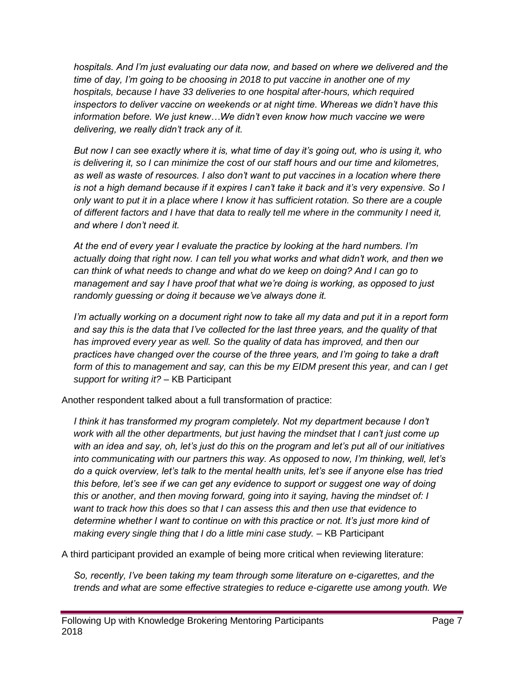*hospitals. And I'm just evaluating our data now, and based on where we delivered and the time of day, I'm going to be choosing in 2018 to put vaccine in another one of my hospitals, because I have 33 deliveries to one hospital after-hours, which required inspectors to deliver vaccine on weekends or at night time. Whereas we didn't have this information before. We just knew…We didn't even know how much vaccine we were delivering, we really didn't track any of it.*

*But now I can see exactly where it is, what time of day it's going out, who is using it, who is delivering it, so I can minimize the cost of our staff hours and our time and kilometres, as well as waste of resources. I also don't want to put vaccines in a location where there is not a high demand because if it expires I can't take it back and it's very expensive. So I only want to put it in a place where I know it has sufficient rotation. So there are a couple of different factors and I have that data to really tell me where in the community I need it, and where I don't need it.* 

*At the end of every year I evaluate the practice by looking at the hard numbers. I'm actually doing that right now. I can tell you what works and what didn't work, and then we can think of what needs to change and what do we keep on doing? And I can go to management and say I have proof that what we're doing is working, as opposed to just randomly guessing or doing it because we've always done it.* 

*I'm actually working on a document right now to take all my data and put it in a report form and say this is the data that I've collected for the last three years, and the quality of that has improved every year as well. So the quality of data has improved, and then our practices have changed over the course of the three years, and I'm going to take a draft form of this to management and say, can this be my EIDM present this year, and can I get support for writing it? –* KB Participant

Another respondent talked about a full transformation of practice:

*I think it has transformed my program completely. Not my department because I don't work with all the other departments, but just having the mindset that I can't just come up with an idea and say, oh, let's just do this on the program and let's put all of our initiatives into communicating with our partners this way. As opposed to now, I'm thinking, well, let's do a quick overview, let's talk to the mental health units, let's see if anyone else has tried this before, let's see if we can get any evidence to support or suggest one way of doing this or another, and then moving forward, going into it saying, having the mindset of: I want to track how this does so that I can assess this and then use that evidence to determine whether I want to continue on with this practice or not. It's just more kind of making every single thing that I do a little mini case study. –* KB Participant

A third participant provided an example of being more critical when reviewing literature:

*So, recently, I've been taking my team through some literature on e-cigarettes, and the trends and what are some effective strategies to reduce e-cigarette use among youth. We*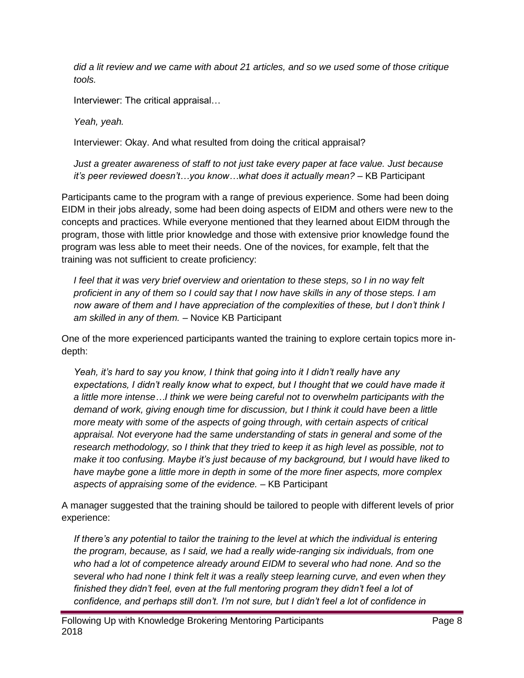*did a lit review and we came with about 21 articles, and so we used some of those critique tools.*

Interviewer: The critical appraisal…

*Yeah, yeah.*

Interviewer: Okay. And what resulted from doing the critical appraisal?

*Just a greater awareness of staff to not just take every paper at face value. Just because it's peer reviewed doesn't…you know…what does it actually mean? –* KB Participant

Participants came to the program with a range of previous experience. Some had been doing EIDM in their jobs already, some had been doing aspects of EIDM and others were new to the concepts and practices. While everyone mentioned that they learned about EIDM through the program, those with little prior knowledge and those with extensive prior knowledge found the program was less able to meet their needs. One of the novices, for example, felt that the training was not sufficient to create proficiency:

*I feel that it was very brief overview and orientation to these steps, so I in no way felt proficient in any of them so I could say that I now have skills in any of those steps. I am now aware of them and I have appreciation of the complexities of these, but I don't think I am skilled in any of them. –* Novice KB Participant

One of the more experienced participants wanted the training to explore certain topics more indepth:

*Yeah, it's hard to say you know, I think that going into it I didn't really have any expectations, I didn't really know what to expect, but I thought that we could have made it a little more intense…I think we were being careful not to overwhelm participants with the demand of work, giving enough time for discussion, but I think it could have been a little more meaty with some of the aspects of going through, with certain aspects of critical appraisal. Not everyone had the same understanding of stats in general and some of the research methodology, so I think that they tried to keep it as high level as possible, not to make it too confusing. Maybe it's just because of my background, but I would have liked to have maybe gone a little more in depth in some of the more finer aspects, more complex aspects of appraising some of the evidence. –* KB Participant

A manager suggested that the training should be tailored to people with different levels of prior experience:

*If there's any potential to tailor the training to the level at which the individual is entering the program, because, as I said, we had a really wide-ranging six individuals, from one who had a lot of competence already around EIDM to several who had none. And so the several who had none I think felt it was a really steep learning curve, and even when they finished they didn't feel, even at the full mentoring program they didn't feel a lot of confidence, and perhaps still don't. I'm not sure, but I didn't feel a lot of confidence in*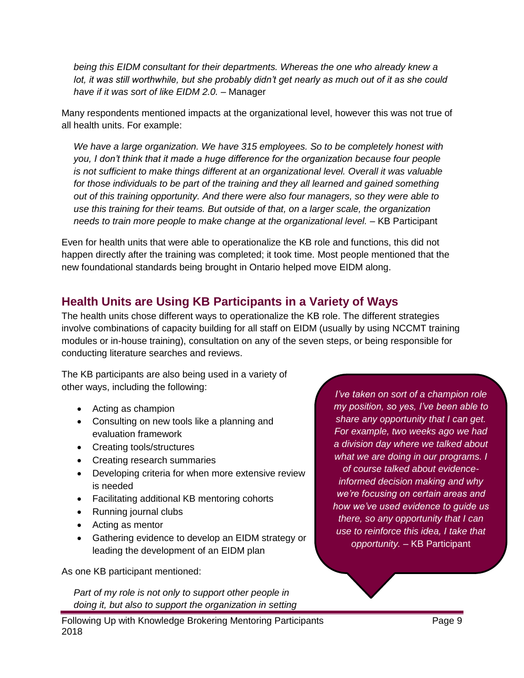*being this EIDM consultant for their departments. Whereas the one who already knew a lot, it was still worthwhile, but she probably didn't get nearly as much out of it as she could have if it was sort of like EIDM 2.0. –* Manager

Many respondents mentioned impacts at the organizational level, however this was not true of all health units. For example:

*We have a large organization. We have 315 employees. So to be completely honest with you, I don't think that it made a huge difference for the organization because four people is not sufficient to make things different at an organizational level. Overall it was valuable for those individuals to be part of the training and they all learned and gained something out of this training opportunity. And there were also four managers, so they were able to use this training for their teams. But outside of that, on a larger scale, the organization needs to train more people to make change at the organizational level. –* KB Participant

Even for health units that were able to operationalize the KB role and functions, this did not happen directly after the training was completed; it took time. Most people mentioned that the new foundational standards being brought in Ontario helped move EIDM along.

## <span id="page-9-0"></span>**Health Units are Using KB Participants in a Variety of Ways**

The health units chose different ways to operationalize the KB role. The different strategies involve combinations of capacity building for all staff on EIDM (usually by using NCCMT training modules or in-house training), consultation on any of the seven steps, or being responsible for conducting literature searches and reviews.

The KB participants are also being used in a variety of other ways, including the following:

- Acting as champion
- Consulting on new tools like a planning and evaluation framework
- Creating tools/structures
- Creating research summaries
- Developing criteria for when more extensive review is needed
- Facilitating additional KB mentoring cohorts
- Running journal clubs
- Acting as mentor
- Gathering evidence to develop an EIDM strategy or leading the development of an EIDM plan

As one KB participant mentioned:

*Part of my role is not only to support other people in doing it, but also to support the organization in setting* 

*I've taken on sort of a champion role my position, so yes, I've been able to share any opportunity that I can get. For example, two weeks ago we had a division day where we talked about what we are doing in our programs. I of course talked about evidenceinformed decision making and why we're focusing on certain areas and how we've used evidence to guide us there, so any opportunity that I can use to reinforce this idea, I take that opportunity.* – KB Participant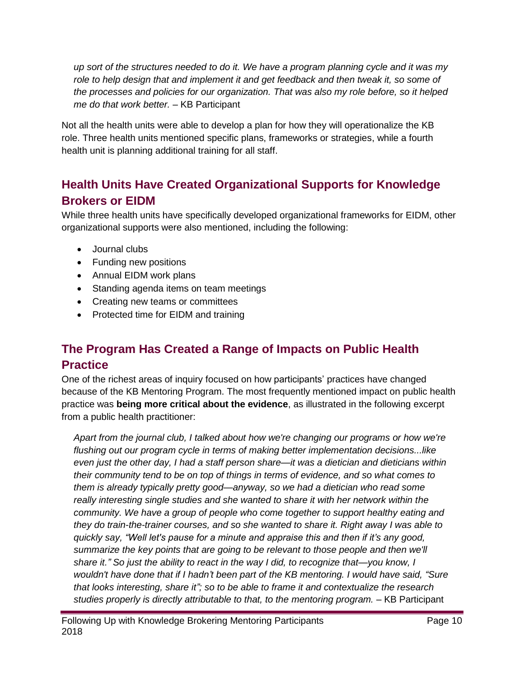*up sort of the structures needed to do it. We have a program planning cycle and it was my role to help design that and implement it and get feedback and then tweak it, so some of the processes and policies for our organization. That was also my role before, so it helped me do that work better.* – KB Participant

Not all the health units were able to develop a plan for how they will operationalize the KB role. Three health units mentioned specific plans, frameworks or strategies, while a fourth health unit is planning additional training for all staff.

# <span id="page-10-0"></span>**Health Units Have Created Organizational Supports for Knowledge Brokers or EIDM**

While three health units have specifically developed organizational frameworks for EIDM, other organizational supports were also mentioned, including the following:

- Journal clubs
- Funding new positions
- Annual EIDM work plans
- Standing agenda items on team meetings
- Creating new teams or committees
- Protected time for EIDM and training

# <span id="page-10-1"></span>**The Program Has Created a Range of Impacts on Public Health Practice**

One of the richest areas of inquiry focused on how participants' practices have changed because of the KB Mentoring Program. The most frequently mentioned impact on public health practice was **being more critical about the evidence**, as illustrated in the following excerpt from a public health practitioner:

*Apart from the journal club, I talked about how we're changing our programs or how we're flushing out our program cycle in terms of making better implementation decisions...like even just the other day, I had a staff person share—it was a dietician and dieticians within their community tend to be on top of things in terms of evidence, and so what comes to them is already typically pretty good—anyway, so we had a dietician who read some really interesting single studies and she wanted to share it with her network within the community. We have a group of people who come together to support healthy eating and they do train-the-trainer courses, and so she wanted to share it. Right away I was able to quickly say, "Well let's pause for a minute and appraise this and then if it's any good, summarize the key points that are going to be relevant to those people and then we'll share it." So just the ability to react in the way I did, to recognize that—you know, I wouldn't have done that if I hadn't been part of the KB mentoring. I would have said, "Sure that looks interesting, share it"; so to be able to frame it and contextualize the research studies properly is directly attributable to that, to the mentoring program.* – KB Participant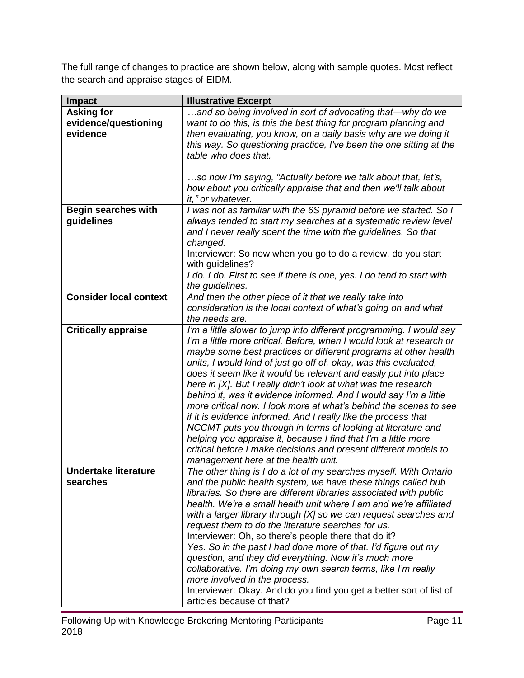The full range of changes to practice are shown below, along with sample quotes. Most reflect the search and appraise stages of EIDM.

| Impact                        | <b>Illustrative Excerpt</b>                                            |
|-------------------------------|------------------------------------------------------------------------|
| <b>Asking for</b>             | and so being involved in sort of advocating that—why do we             |
| evidence/questioning          | want to do this, is this the best thing for program planning and       |
| evidence                      | then evaluating, you know, on a daily basis why are we doing it        |
|                               | this way. So questioning practice, I've been the one sitting at the    |
|                               | table who does that.                                                   |
|                               |                                                                        |
|                               | so now I'm saying, "Actually before we talk about that, let's,         |
|                               | how about you critically appraise that and then we'll talk about       |
|                               | it," or whatever.                                                      |
| <b>Begin searches with</b>    | I was not as familiar with the 6S pyramid before we started. So I      |
| guidelines                    | always tended to start my searches at a systematic review level        |
|                               | and I never really spent the time with the guidelines. So that         |
|                               | changed.                                                               |
|                               | Interviewer: So now when you go to do a review, do you start           |
|                               | with guidelines?                                                       |
|                               | I do. I do. First to see if there is one, yes. I do tend to start with |
|                               | the guidelines.                                                        |
| <b>Consider local context</b> | And then the other piece of it that we really take into                |
|                               | consideration is the local context of what's going on and what         |
|                               | the needs are.                                                         |
| <b>Critically appraise</b>    | I'm a little slower to jump into different programming. I would say    |
|                               | I'm a little more critical. Before, when I would look at research or   |
|                               | maybe some best practices or different programs at other health        |
|                               | units, I would kind of just go off of, okay, was this evaluated,       |
|                               | does it seem like it would be relevant and easily put into place       |
|                               | here in [X]. But I really didn't look at what was the research         |
|                               | behind it, was it evidence informed. And I would say I'm a little      |
|                               |                                                                        |
|                               | more critical now. I look more at what's behind the scenes to see      |
|                               | if it is evidence informed. And I really like the process that         |
|                               | NCCMT puts you through in terms of looking at literature and           |
|                               | helping you appraise it, because I find that I'm a little more         |
|                               | critical before I make decisions and present different models to       |
|                               | management here at the health unit.                                    |
| <b>Undertake literature</b>   | The other thing is I do a lot of my searches myself. With Ontario      |
| searches                      | and the public health system, we have these things called hub          |
|                               | libraries. So there are different libraries associated with public     |
|                               | health. We're a small health unit where I am and we're affiliated      |
|                               | with a larger library through [X] so we can request searches and       |
|                               | request them to do the literature searches for us.                     |
|                               | Interviewer: Oh, so there's people there that do it?                   |
|                               | Yes. So in the past I had done more of that. I'd figure out my         |
|                               | question, and they did everything. Now it's much more                  |
|                               | collaborative. I'm doing my own search terms, like I'm really          |
|                               | more involved in the process.                                          |
|                               | Interviewer: Okay. And do you find you get a better sort of list of    |
|                               | articles because of that?                                              |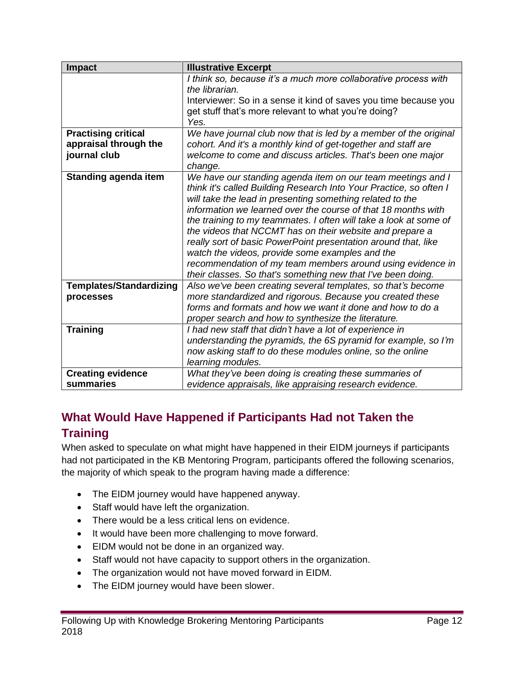| <b>Impact</b>                  | <b>Illustrative Excerpt</b>                                        |
|--------------------------------|--------------------------------------------------------------------|
|                                | I think so, because it's a much more collaborative process with    |
|                                | the librarian.                                                     |
|                                | Interviewer: So in a sense it kind of saves you time because you   |
|                                | get stuff that's more relevant to what you're doing?               |
|                                | Yes.                                                               |
| <b>Practising critical</b>     | We have journal club now that is led by a member of the original   |
| appraisal through the          | cohort. And it's a monthly kind of get-together and staff are      |
| journal club                   | welcome to come and discuss articles. That's been one major        |
|                                | change.                                                            |
| <b>Standing agenda item</b>    | We have our standing agenda item on our team meetings and I        |
|                                | think it's called Building Research Into Your Practice, so often I |
|                                | will take the lead in presenting something related to the          |
|                                | information we learned over the course of that 18 months with      |
|                                | the training to my teammates. I often will take a look at some of  |
|                                | the videos that NCCMT has on their website and prepare a           |
|                                | really sort of basic PowerPoint presentation around that, like     |
|                                | watch the videos, provide some examples and the                    |
|                                | recommendation of my team members around using evidence in         |
|                                | their classes. So that's something new that I've been doing.       |
| <b>Templates/Standardizing</b> | Also we've been creating several templates, so that's become       |
| processes                      | more standardized and rigorous. Because you created these          |
|                                | forms and formats and how we want it done and how to do a          |
|                                | proper search and how to synthesize the literature.                |
| <b>Training</b>                | I had new staff that didn't have a lot of experience in            |
|                                | understanding the pyramids, the 6S pyramid for example, so I'm     |
|                                | now asking staff to do these modules online, so the online         |
|                                | learning modules.                                                  |
| <b>Creating evidence</b>       | What they've been doing is creating these summaries of             |
| summaries                      | evidence appraisals, like appraising research evidence.            |

## <span id="page-12-0"></span>**What Would Have Happened if Participants Had not Taken the Training**

When asked to speculate on what might have happened in their EIDM journeys if participants had not participated in the KB Mentoring Program, participants offered the following scenarios, the majority of which speak to the program having made a difference:

- The EIDM journey would have happened anyway.
- Staff would have left the organization.
- There would be a less critical lens on evidence.
- It would have been more challenging to move forward.
- EIDM would not be done in an organized way.
- Staff would not have capacity to support others in the organization.
- The organization would not have moved forward in EIDM.
- The EIDM journey would have been slower.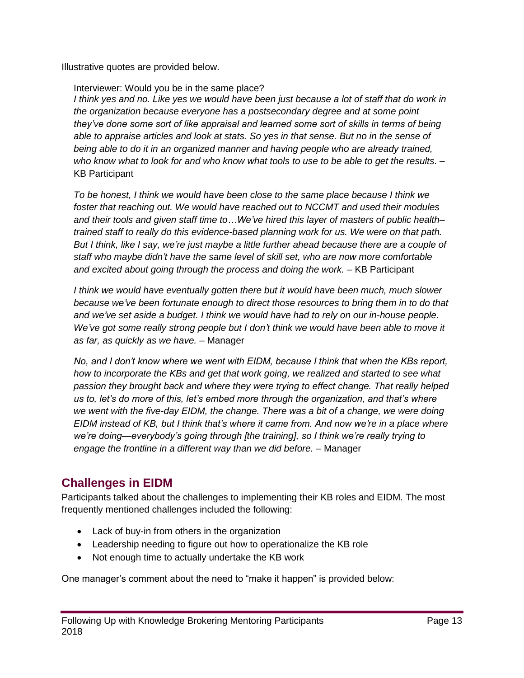Illustrative quotes are provided below.

#### Interviewer: Would you be in the same place?

*I think yes and no. Like yes we would have been just because a lot of staff that do work in the organization because everyone has a postsecondary degree and at some point they've done some sort of like appraisal and learned some sort of skills in terms of being able to appraise articles and look at stats. So yes in that sense. But no in the sense of being able to do it in an organized manner and having people who are already trained, who know what to look for and who know what tools to use to be able to get the results*. – KB Participant

*To be honest, I think we would have been close to the same place because I think we foster that reaching out. We would have reached out to NCCMT and used their modules and their tools and given staff time to…We've hired this layer of masters of public health– trained staff to really do this evidence-based planning work for us. We were on that path. But I think, like I say, we're just maybe a little further ahead because there are a couple of staff who maybe didn't have the same level of skill set, who are now more comfortable and excited about going through the process and doing the work. –* KB Participant

*I think we would have eventually gotten there but it would have been much, much slower because we've been fortunate enough to direct those resources to bring them in to do that and we've set aside a budget. I think we would have had to rely on our in-house people. We've got some really strong people but I don't think we would have been able to move it as far, as quickly as we have. –* Manager

*No, and I don't know where we went with EIDM, because I think that when the KBs report, how to incorporate the KBs and get that work going, we realized and started to see what passion they brought back and where they were trying to effect change. That really helped us to, let's do more of this, let's embed more through the organization, and that's where we went with the five-day EIDM, the change. There was a bit of a change, we were doing EIDM instead of KB, but I think that's where it came from. And now we're in a place where we're doing—everybody's going through [the training], so I think we're really trying to engage the frontline in a different way than we did before. –* Manager

## <span id="page-13-0"></span>**Challenges in EIDM**

Participants talked about the challenges to implementing their KB roles and EIDM. The most frequently mentioned challenges included the following:

- Lack of buy-in from others in the organization
- Leadership needing to figure out how to operationalize the KB role
- Not enough time to actually undertake the KB work

One manager's comment about the need to "make it happen" is provided below: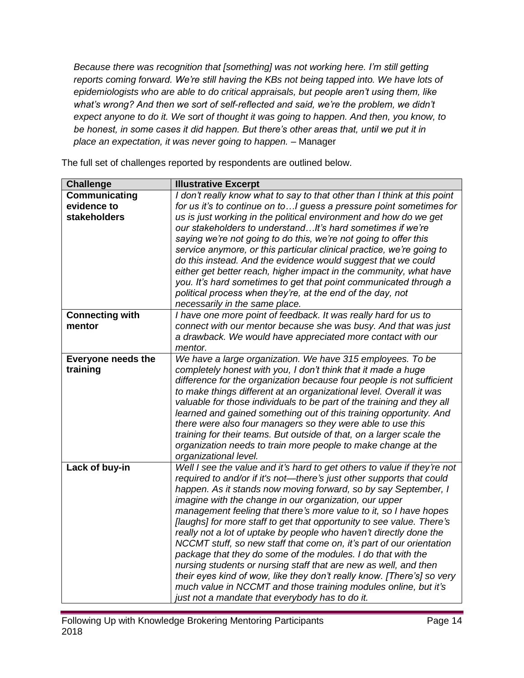*Because there was recognition that [something] was not working here. I'm still getting reports coming forward. We're still having the KBs not being tapped into. We have lots of epidemiologists who are able to do critical appraisals, but people aren't using them, like what's wrong? And then we sort of self-reflected and said, we're the problem, we didn't expect anyone to do it. We sort of thought it was going to happen. And then, you know, to be honest, in some cases it did happen. But there's other areas that, until we put it in place an expectation, it was never going to happen. –* Manager

The full set of challenges reported by respondents are outlined below.

| <b>Challenge</b>                                    | <b>Illustrative Excerpt</b>                                                                                                                                                                                                                                                                                                                                                                                                                                                                                                                                                                                                                                                                                                                                                                                                                                                                                    |
|-----------------------------------------------------|----------------------------------------------------------------------------------------------------------------------------------------------------------------------------------------------------------------------------------------------------------------------------------------------------------------------------------------------------------------------------------------------------------------------------------------------------------------------------------------------------------------------------------------------------------------------------------------------------------------------------------------------------------------------------------------------------------------------------------------------------------------------------------------------------------------------------------------------------------------------------------------------------------------|
| Communicating<br>evidence to<br><b>stakeholders</b> | I don't really know what to say to that other than I think at this point<br>for us it's to continue on to I guess a pressure point sometimes for<br>us is just working in the political environment and how do we get<br>our stakeholders to understand It's hard sometimes if we're<br>saying we're not going to do this, we're not going to offer this                                                                                                                                                                                                                                                                                                                                                                                                                                                                                                                                                       |
|                                                     | service anymore, or this particular clinical practice, we're going to<br>do this instead. And the evidence would suggest that we could<br>either get better reach, higher impact in the community, what have<br>you. It's hard sometimes to get that point communicated through a<br>political process when they're, at the end of the day, not<br>necessarily in the same place.                                                                                                                                                                                                                                                                                                                                                                                                                                                                                                                              |
| <b>Connecting with</b><br>mentor                    | I have one more point of feedback. It was really hard for us to<br>connect with our mentor because she was busy. And that was just<br>a drawback. We would have appreciated more contact with our<br>mentor.                                                                                                                                                                                                                                                                                                                                                                                                                                                                                                                                                                                                                                                                                                   |
| <b>Everyone needs the</b><br>training               | We have a large organization. We have 315 employees. To be<br>completely honest with you, I don't think that it made a huge<br>difference for the organization because four people is not sufficient<br>to make things different at an organizational level. Overall it was<br>valuable for those individuals to be part of the training and they all<br>learned and gained something out of this training opportunity. And<br>there were also four managers so they were able to use this<br>training for their teams. But outside of that, on a larger scale the<br>organization needs to train more people to make change at the<br>organizational level.                                                                                                                                                                                                                                                   |
| Lack of buy-in                                      | Well I see the value and it's hard to get others to value if they're not<br>required to and/or if it's not—there's just other supports that could<br>happen. As it stands now moving forward, so by say September, I<br>imagine with the change in our organization, our upper<br>management feeling that there's more value to it, so I have hopes<br>[laughs] for more staff to get that opportunity to see value. There's<br>really not a lot of uptake by people who haven't directly done the<br>NCCMT stuff, so new staff that come on, it's part of our orientation<br>package that they do some of the modules. I do that with the<br>nursing students or nursing staff that are new as well, and then<br>their eyes kind of wow, like they don't really know. [There's] so very<br>much value in NCCMT and those training modules online, but it's<br>just not a mandate that everybody has to do it. |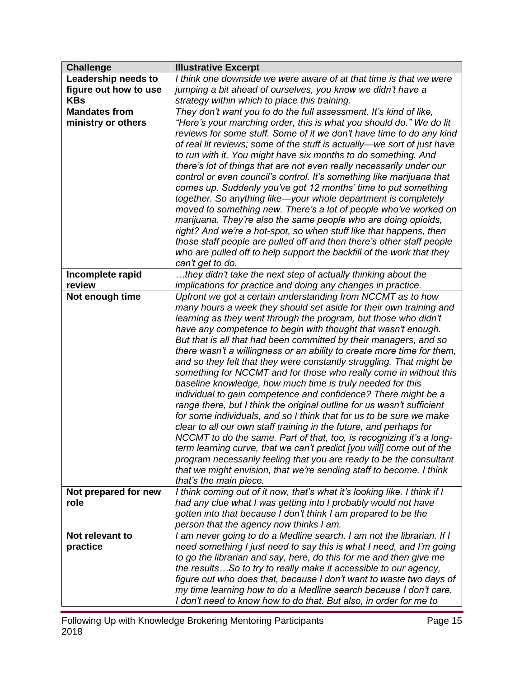| <b>Challenge</b>      | <b>Illustrative Excerpt</b>                                                                                                               |
|-----------------------|-------------------------------------------------------------------------------------------------------------------------------------------|
| Leadership needs to   | I think one downside we were aware of at that time is that we were                                                                        |
| figure out how to use | jumping a bit ahead of ourselves, you know we didn't have a                                                                               |
| <b>KBs</b>            | strategy within which to place this training.                                                                                             |
| <b>Mandates from</b>  | They don't want you to do the full assessment. It's kind of like,                                                                         |
| ministry or others    | "Here's your marching order, this is what you should do." We do lit                                                                       |
|                       | reviews for some stuff. Some of it we don't have time to do any kind                                                                      |
|                       | of real lit reviews; some of the stuff is actually-we sort of just have                                                                   |
|                       | to run with it. You might have six months to do something. And                                                                            |
|                       | there's lot of things that are not even really necessarily under our                                                                      |
|                       | control or even council's control. It's something like marijuana that                                                                     |
|                       | comes up. Suddenly you've got 12 months' time to put something                                                                            |
|                       | together. So anything like-your whole department is completely                                                                            |
|                       | moved to something new. There's a lot of people who've worked on                                                                          |
|                       | marijuana. They're also the same people who are doing opioids,                                                                            |
|                       | right? And we're a hot-spot, so when stuff like that happens, then                                                                        |
|                       | those staff people are pulled off and then there's other staff people                                                                     |
|                       | who are pulled off to help support the backfill of the work that they                                                                     |
|                       | can't get to do.                                                                                                                          |
| Incomplete rapid      | they didn't take the next step of actually thinking about the                                                                             |
| review                | implications for practice and doing any changes in practice.                                                                              |
| Not enough time       | Upfront we got a certain understanding from NCCMT as to how                                                                               |
|                       | many hours a week they should set aside for their own training and                                                                        |
|                       | learning as they went through the program, but those who didn't                                                                           |
|                       | have any competence to begin with thought that wasn't enough.                                                                             |
|                       | But that is all that had been committed by their managers, and so                                                                         |
|                       | there wasn't a willingness or an ability to create more time for them,                                                                    |
|                       | and so they felt that they were constantly struggling. That might be<br>something for NCCMT and for those who really come in without this |
|                       | baseline knowledge, how much time is truly needed for this                                                                                |
|                       | individual to gain competence and confidence? There might be a                                                                            |
|                       | range there, but I think the original outline for us wasn't sufficient                                                                    |
|                       | for some individuals, and so I think that for us to be sure we make                                                                       |
|                       | clear to all our own staff training in the future, and perhaps for                                                                        |
|                       | NCCMT to do the same. Part of that, too, is recognizing it's a long-                                                                      |
|                       | term learning curve, that we can't predict [you will] come out of the                                                                     |
|                       | program necessarily feeling that you are ready to be the consultant                                                                       |
|                       | that we might envision, that we're sending staff to become. I think                                                                       |
|                       | that's the main piece.                                                                                                                    |
| Not prepared for new  | I think coming out of it now, that's what it's looking like. I think if I                                                                 |
| role                  | had any clue what I was getting into I probably would not have                                                                            |
|                       | gotten into that because I don't think I am prepared to be the                                                                            |
|                       | person that the agency now thinks I am.                                                                                                   |
| Not relevant to       | I am never going to do a Medline search. I am not the librarian. If I                                                                     |
| practice              | need something I just need to say this is what I need, and I'm going                                                                      |
|                       | to go the librarian and say, here, do this for me and then give me                                                                        |
|                       | the resultsSo to try to really make it accessible to our agency,                                                                          |
|                       | figure out who does that, because I don't want to waste two days of                                                                       |
|                       | my time learning how to do a Medline search because I don't care.                                                                         |
|                       | I don't need to know how to do that. But also, in order for me to                                                                         |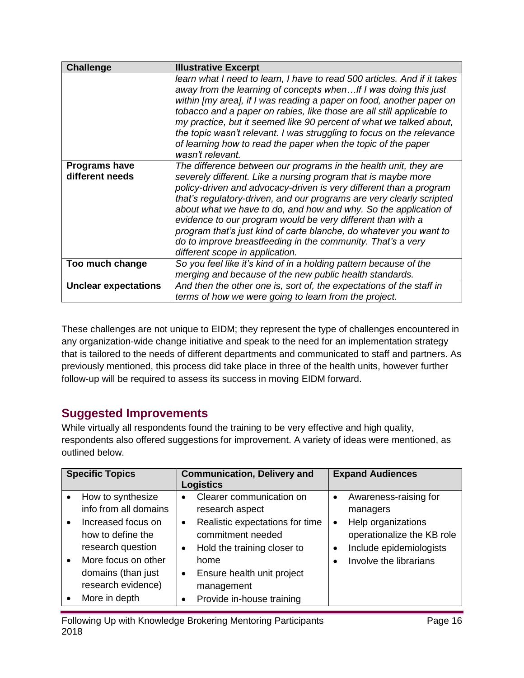| <b>Challenge</b>                        | <b>Illustrative Excerpt</b>                                                                                                                                                                                                                                                                                                                                                                                                                                                                                                                                                                |
|-----------------------------------------|--------------------------------------------------------------------------------------------------------------------------------------------------------------------------------------------------------------------------------------------------------------------------------------------------------------------------------------------------------------------------------------------------------------------------------------------------------------------------------------------------------------------------------------------------------------------------------------------|
|                                         | learn what I need to learn, I have to read 500 articles. And if it takes<br>away from the learning of concepts when If I was doing this just<br>within [my area], if I was reading a paper on food, another paper on<br>tobacco and a paper on rabies, like those are all still applicable to<br>my practice, but it seemed like 90 percent of what we talked about,<br>the topic wasn't relevant. I was struggling to focus on the relevance<br>of learning how to read the paper when the topic of the paper<br>wasn't relevant.                                                         |
| <b>Programs have</b><br>different needs | The difference between our programs in the health unit, they are<br>severely different. Like a nursing program that is maybe more<br>policy-driven and advocacy-driven is very different than a program<br>that's regulatory-driven, and our programs are very clearly scripted<br>about what we have to do, and how and why. So the application of<br>evidence to our program would be very different than with a<br>program that's just kind of carte blanche, do whatever you want to<br>do to improve breastfeeding in the community. That's a very<br>different scope in application. |
| Too much change                         | So you feel like it's kind of in a holding pattern because of the<br>merging and because of the new public health standards.                                                                                                                                                                                                                                                                                                                                                                                                                                                               |
| <b>Unclear expectations</b>             | And then the other one is, sort of, the expectations of the staff in<br>terms of how we were going to learn from the project.                                                                                                                                                                                                                                                                                                                                                                                                                                                              |

These challenges are not unique to EIDM; they represent the type of challenges encountered in any organization-wide change initiative and speak to the need for an implementation strategy that is tailored to the needs of different departments and communicated to staff and partners. As previously mentioned, this process did take place in three of the health units, however further follow-up will be required to assess its success in moving EIDM forward.

## <span id="page-16-0"></span>**Suggested Improvements**

While virtually all respondents found the training to be very effective and high quality, respondents also offered suggestions for improvement. A variety of ideas were mentioned, as outlined below.

| <b>Specific Topics</b> |                       | <b>Communication, Delivery and</b><br><b>Logistics</b> |                                 | <b>Expand Audiences</b> |                            |
|------------------------|-----------------------|--------------------------------------------------------|---------------------------------|-------------------------|----------------------------|
| $\bullet$              | How to synthesize     | $\bullet$                                              | Clearer communication on        | $\bullet$               | Awareness-raising for      |
|                        | info from all domains |                                                        | research aspect                 |                         | managers                   |
| $\bullet$              | Increased focus on    | $\bullet$                                              | Realistic expectations for time | $\bullet$               | Help organizations         |
|                        | how to define the     |                                                        | commitment needed               |                         | operationalize the KB role |
|                        | research question     | $\bullet$                                              | Hold the training closer to     | $\bullet$               | Include epidemiologists    |
| $\bullet$              | More focus on other   |                                                        | home                            |                         | Involve the librarians     |
|                        | domains (than just    | $\bullet$                                              | Ensure health unit project      |                         |                            |
|                        | research evidence)    |                                                        | management                      |                         |                            |
|                        | More in depth         |                                                        | Provide in-house training       |                         |                            |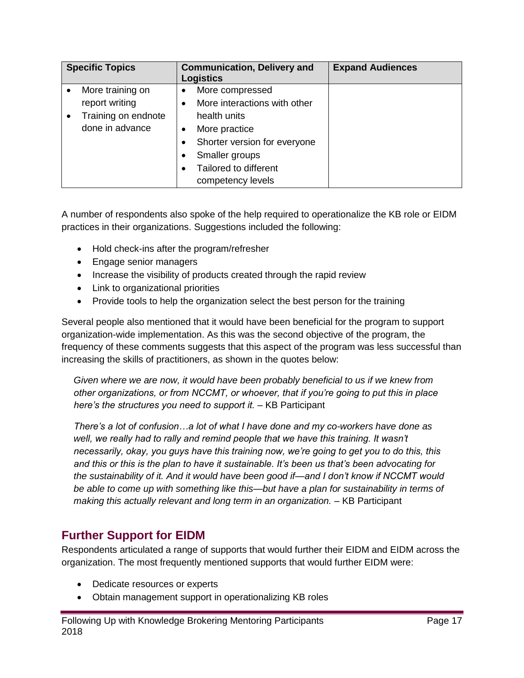| <b>Specific Topics</b> |           | <b>Communication, Delivery and</b><br><b>Logistics</b> | <b>Expand Audiences</b> |
|------------------------|-----------|--------------------------------------------------------|-------------------------|
| More training on       | $\bullet$ | More compressed                                        |                         |
| report writing         |           | More interactions with other                           |                         |
| Training on endnote    |           | health units                                           |                         |
| done in advance        |           | More practice                                          |                         |
|                        |           | Shorter version for everyone                           |                         |
|                        |           | Smaller groups                                         |                         |
|                        |           | Tailored to different                                  |                         |
|                        |           | competency levels                                      |                         |

A number of respondents also spoke of the help required to operationalize the KB role or EIDM practices in their organizations. Suggestions included the following:

- Hold check-ins after the program/refresher
- Engage senior managers
- Increase the visibility of products created through the rapid review
- Link to organizational priorities
- Provide tools to help the organization select the best person for the training

Several people also mentioned that it would have been beneficial for the program to support organization-wide implementation. As this was the second objective of the program, the frequency of these comments suggests that this aspect of the program was less successful than increasing the skills of practitioners, as shown in the quotes below:

*Given where we are now, it would have been probably beneficial to us if we knew from other organizations, or from NCCMT, or whoever, that if you're going to put this in place here's the structures you need to support it. –* KB Participant

*There's a lot of confusion…a lot of what I have done and my co-workers have done as well, we really had to rally and remind people that we have this training. It wasn't necessarily, okay, you guys have this training now, we're going to get you to do this, this and this or this is the plan to have it sustainable. It's been us that's been advocating for the sustainability of it. And it would have been good if—and I don't know if NCCMT would be able to come up with something like this—but have a plan for sustainability in terms of making this actually relevant and long term in an organization. –* KB Participant

#### <span id="page-17-0"></span>**Further Support for EIDM**

Respondents articulated a range of supports that would further their EIDM and EIDM across the organization. The most frequently mentioned supports that would further EIDM were:

- Dedicate resources or experts
- Obtain management support in operationalizing KB roles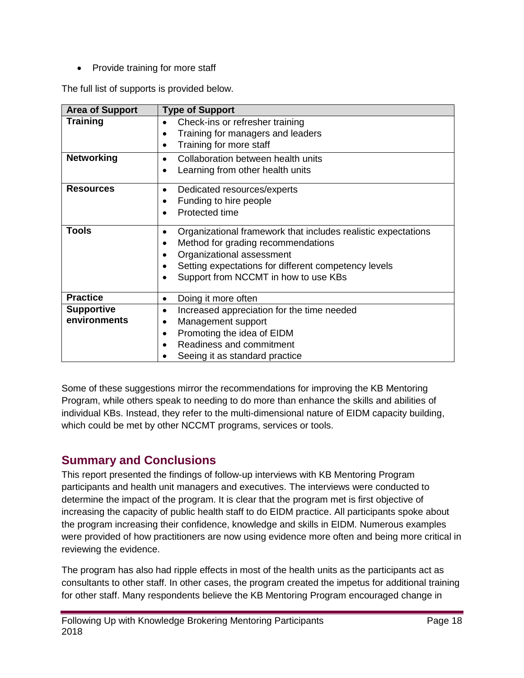• Provide training for more staff

The full list of supports is provided below.

| <b>Area of Support</b> | <b>Type of Support</b>                                             |
|------------------------|--------------------------------------------------------------------|
| <b>Training</b>        | Check-ins or refresher training                                    |
|                        | Training for managers and leaders<br>$\bullet$                     |
|                        | Training for more staff<br>$\bullet$                               |
| <b>Networking</b>      | Collaboration between health units<br>$\bullet$                    |
|                        | Learning from other health units<br>$\bullet$                      |
| <b>Resources</b>       | Dedicated resources/experts<br>٠                                   |
|                        | Funding to hire people                                             |
|                        | Protected time                                                     |
| <b>Tools</b>           | Organizational framework that includes realistic expectations<br>٠ |
|                        | Method for grading recommendations<br>$\bullet$                    |
|                        | Organizational assessment                                          |
|                        | Setting expectations for different competency levels               |
|                        | Support from NCCMT in how to use KBs<br>$\bullet$                  |
| <b>Practice</b>        | Doing it more often<br>$\bullet$                                   |
| <b>Supportive</b>      | Increased appreciation for the time needed<br>$\bullet$            |
| environments           | Management support<br>٠                                            |
|                        | Promoting the idea of EIDM<br>$\bullet$                            |
|                        | Readiness and commitment                                           |
|                        | Seeing it as standard practice                                     |

Some of these suggestions mirror the recommendations for improving the KB Mentoring Program, while others speak to needing to do more than enhance the skills and abilities of individual KBs. Instead, they refer to the multi-dimensional nature of EIDM capacity building, which could be met by other NCCMT programs, services or tools.

#### <span id="page-18-0"></span>**Summary and Conclusions**

This report presented the findings of follow-up interviews with KB Mentoring Program participants and health unit managers and executives. The interviews were conducted to determine the impact of the program. It is clear that the program met is first objective of increasing the capacity of public health staff to do EIDM practice. All participants spoke about the program increasing their confidence, knowledge and skills in EIDM. Numerous examples were provided of how practitioners are now using evidence more often and being more critical in reviewing the evidence.

The program has also had ripple effects in most of the health units as the participants act as consultants to other staff. In other cases, the program created the impetus for additional training for other staff. Many respondents believe the KB Mentoring Program encouraged change in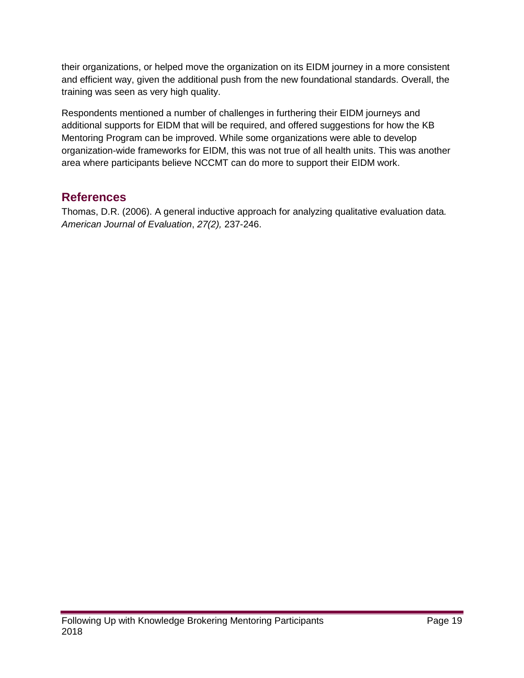their organizations, or helped move the organization on its EIDM journey in a more consistent and efficient way, given the additional push from the new foundational standards. Overall, the training was seen as very high quality.

Respondents mentioned a number of challenges in furthering their EIDM journeys and additional supports for EIDM that will be required, and offered suggestions for how the KB Mentoring Program can be improved. While some organizations were able to develop organization-wide frameworks for EIDM, this was not true of all health units. This was another area where participants believe NCCMT can do more to support their EIDM work.

### <span id="page-19-0"></span>**References**

<span id="page-19-1"></span>Thomas, D.R. (2006). A general inductive approach for analyzing qualitative evaluation data*. American Journal of Evaluation*, *27(2),* 237-246.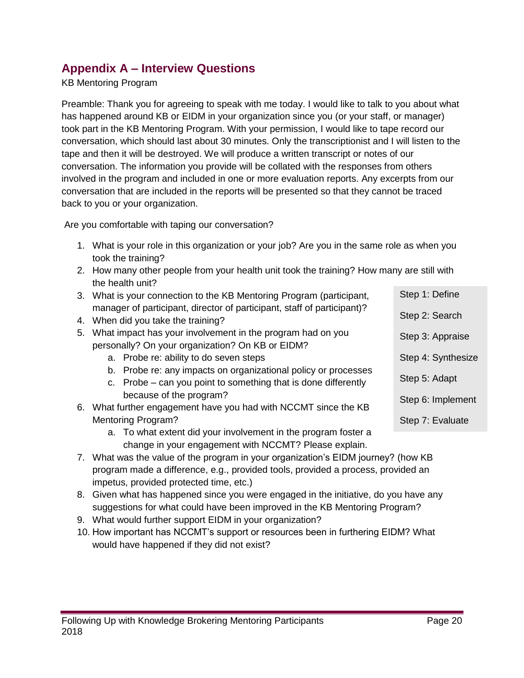### **Appendix A – Interview Questions**

#### KB Mentoring Program

Preamble: Thank you for agreeing to speak with me today. I would like to talk to you about what has happened around KB or EIDM in your organization since you (or your staff, or manager) took part in the KB Mentoring Program. With your permission, I would like to tape record our conversation, which should last about 30 minutes. Only the transcriptionist and I will listen to the tape and then it will be destroyed. We will produce a written transcript or notes of our conversation. The information you provide will be collated with the responses from others involved in the program and included in one or more evaluation reports. Any excerpts from our conversation that are included in the reports will be presented so that they cannot be traced back to you or your organization.

Are you comfortable with taping our conversation?

- 1. What is your role in this organization or your job? Are you in the same role as when you took the training?
- 2. How many other people from your health unit took the training? How many are still with the health unit?
- 3. What is your connection to the KB Mentoring Program (participant, manager of participant, director of participant, staff of participant)? Step 1: Define Step 2: Search
- 4. When did you take the training?
- 5. What impact has your involvement in the program had on you personally? On your organization? On KB or EIDM?
	- a. Probe re: ability to do seven steps
	- b. Probe re: any impacts on organizational policy or processes
	- c. Probe can you point to something that is done differently because of the program?
- 6. What further engagement have you had with NCCMT since the KB Mentoring Program?
	- a. To what extent did your involvement in the program foster a change in your engagement with NCCMT? Please explain.
- 7. What was the value of the program in your organization's EIDM journey? (how KB program made a difference, e.g., provided tools, provided a process, provided an impetus, provided protected time, etc.)
- 8. Given what has happened since you were engaged in the initiative, do you have any suggestions for what could have been improved in the KB Mentoring Program?
- 9. What would further support EIDM in your organization?
- <span id="page-20-0"></span>10. How important has NCCMT's support or resources been in furthering EIDM? What would have happened if they did not exist?

Step 3: Appraise

Step 5: Adapt

Step 4: Synthesize

Step 6: Implement

Step 7: Evaluate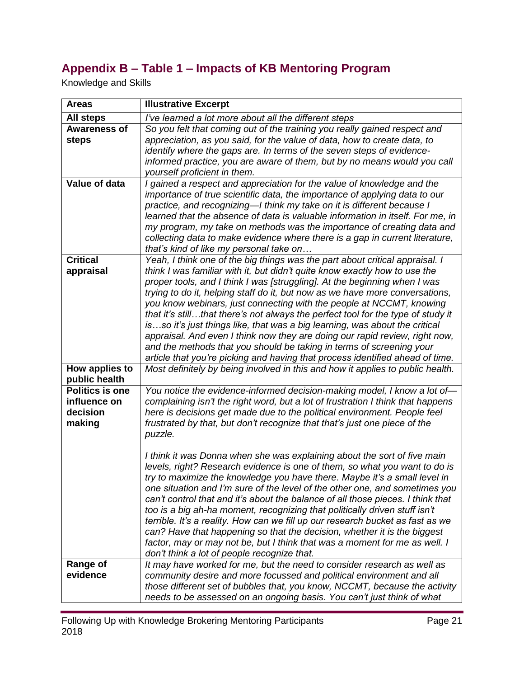# **Appendix B – Table 1 – Impacts of KB Mentoring Program**

Knowledge and Skills

| <b>Areas</b>                                                 | <b>Illustrative Excerpt</b>                                                                                                                                                                                                                                                                                                                                                                                                                                                                                                                                                                                                                                                                                                                                                                                |
|--------------------------------------------------------------|------------------------------------------------------------------------------------------------------------------------------------------------------------------------------------------------------------------------------------------------------------------------------------------------------------------------------------------------------------------------------------------------------------------------------------------------------------------------------------------------------------------------------------------------------------------------------------------------------------------------------------------------------------------------------------------------------------------------------------------------------------------------------------------------------------|
| <b>All steps</b>                                             | I've learned a lot more about all the different steps                                                                                                                                                                                                                                                                                                                                                                                                                                                                                                                                                                                                                                                                                                                                                      |
| <b>Awareness of</b><br>steps                                 | So you felt that coming out of the training you really gained respect and<br>appreciation, as you said, for the value of data, how to create data, to<br>identify where the gaps are. In terms of the seven steps of evidence-<br>informed practice, you are aware of them, but by no means would you call<br>yourself proficient in them.                                                                                                                                                                                                                                                                                                                                                                                                                                                                 |
| <b>Value of data</b>                                         | I gained a respect and appreciation for the value of knowledge and the<br>importance of true scientific data, the importance of applying data to our<br>practice, and recognizing-I think my take on it is different because I<br>learned that the absence of data is valuable information in itself. For me, in<br>my program, my take on methods was the importance of creating data and<br>collecting data to make evidence where there is a gap in current literature,<br>that's kind of like my personal take on                                                                                                                                                                                                                                                                                      |
| <b>Critical</b><br>appraisal                                 | Yeah, I think one of the big things was the part about critical appraisal. I<br>think I was familiar with it, but didn't quite know exactly how to use the<br>proper tools, and I think I was [struggling]. At the beginning when I was<br>trying to do it, helping staff do it, but now as we have more conversations,<br>you know webinars, just connecting with the people at NCCMT, knowing<br>that it's stillthat there's not always the perfect tool for the type of study it<br>isso it's just things like, that was a big learning, was about the critical<br>appraisal. And even I think now they are doing our rapid review, right now,<br>and the methods that you should be taking in terms of screening your<br>article that you're picking and having that process identified ahead of time. |
| How applies to<br>public health                              | Most definitely by being involved in this and how it applies to public health.                                                                                                                                                                                                                                                                                                                                                                                                                                                                                                                                                                                                                                                                                                                             |
| <b>Politics is one</b><br>influence on<br>decision<br>making | You notice the evidence-informed decision-making model, I know a lot of-<br>complaining isn't the right word, but a lot of frustration I think that happens<br>here is decisions get made due to the political environment. People feel<br>frustrated by that, but don't recognize that that's just one piece of the<br>puzzle.                                                                                                                                                                                                                                                                                                                                                                                                                                                                            |
|                                                              | I think it was Donna when she was explaining about the sort of five main<br>levels, right? Research evidence is one of them, so what you want to do is<br>try to maximize the knowledge you have there. Maybe it's a small level in<br>one situation and I'm sure of the level of the other one, and sometimes you<br>can't control that and it's about the balance of all those pieces. I think that<br>too is a big ah-ha moment, recognizing that politically driven stuff isn't<br>terrible. It's a reality. How can we fill up our research bucket as fast as we<br>can? Have that happening so that the decision, whether it is the biggest<br>factor, may or may not be, but I think that was a moment for me as well. I<br>don't think a lot of people recognize that.                             |
| Range of<br>evidence                                         | It may have worked for me, but the need to consider research as well as<br>community desire and more focussed and political environment and all<br>those different set of bubbles that, you know, NCCMT, because the activity<br>needs to be assessed on an ongoing basis. You can't just think of what                                                                                                                                                                                                                                                                                                                                                                                                                                                                                                    |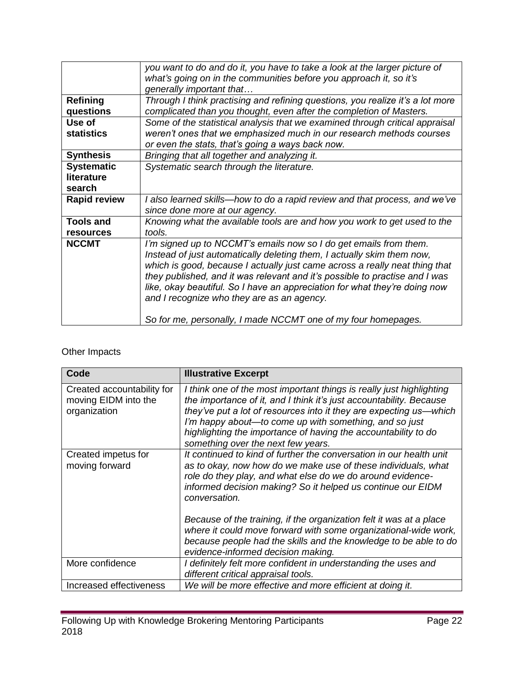|                     | you want to do and do it, you have to take a look at the larger picture of<br>what's going on in the communities before you approach it, so it's |  |
|---------------------|--------------------------------------------------------------------------------------------------------------------------------------------------|--|
|                     |                                                                                                                                                  |  |
|                     | generally important that                                                                                                                         |  |
| <b>Refining</b>     | Through I think practising and refining questions, you realize it's a lot more                                                                   |  |
| questions           | complicated than you thought, even after the completion of Masters.                                                                              |  |
| Use of              | Some of the statistical analysis that we examined through critical appraisal                                                                     |  |
| <b>statistics</b>   | weren't ones that we emphasized much in our research methods courses                                                                             |  |
|                     | or even the stats, that's going a ways back now.                                                                                                 |  |
| <b>Synthesis</b>    | Bringing that all together and analyzing it.                                                                                                     |  |
| <b>Systematic</b>   | Systematic search through the literature.                                                                                                        |  |
| literature          |                                                                                                                                                  |  |
| search              |                                                                                                                                                  |  |
| <b>Rapid review</b> | I also learned skills—how to do a rapid review and that process, and we've                                                                       |  |
|                     | since done more at our agency.                                                                                                                   |  |
| <b>Tools and</b>    | Knowing what the available tools are and how you work to get used to the                                                                         |  |
| <b>resources</b>    | tools.                                                                                                                                           |  |
| <b>NCCMT</b>        | I'm signed up to NCCMT's emails now so I do get emails from them.                                                                                |  |
|                     | Instead of just automatically deleting them, I actually skim them now,                                                                           |  |
|                     | which is good, because I actually just came across a really neat thing that                                                                      |  |
|                     | they published, and it was relevant and it's possible to practise and I was                                                                      |  |
|                     | like, okay beautiful. So I have an appreciation for what they're doing now                                                                       |  |
|                     | and I recognize who they are as an agency.                                                                                                       |  |
|                     |                                                                                                                                                  |  |
|                     | So for me, personally, I made NCCMT one of my four homepages.                                                                                    |  |

#### Other Impacts

| Code                                                               | <b>Illustrative Excerpt</b>                                                                                                                                                                                                                                                                                                                                                         |
|--------------------------------------------------------------------|-------------------------------------------------------------------------------------------------------------------------------------------------------------------------------------------------------------------------------------------------------------------------------------------------------------------------------------------------------------------------------------|
| Created accountability for<br>moving EIDM into the<br>organization | I think one of the most important things is really just highlighting<br>the importance of it, and I think it's just accountability. Because<br>they've put a lot of resources into it they are expecting us—which<br>I'm happy about—to come up with something, and so just<br>highlighting the importance of having the accountability to do<br>something over the next few years. |
| Created impetus for<br>moving forward                              | It continued to kind of further the conversation in our health unit<br>as to okay, now how do we make use of these individuals, what<br>role do they play, and what else do we do around evidence-<br>informed decision making? So it helped us continue our EIDM<br>conversation.                                                                                                  |
|                                                                    | Because of the training, if the organization felt it was at a place<br>where it could move forward with some organizational-wide work,<br>because people had the skills and the knowledge to be able to do<br>evidence-informed decision making.                                                                                                                                    |
| More confidence                                                    | I definitely felt more confident in understanding the uses and<br>different critical appraisal tools.                                                                                                                                                                                                                                                                               |
| Increased effectiveness                                            | We will be more effective and more efficient at doing it.                                                                                                                                                                                                                                                                                                                           |